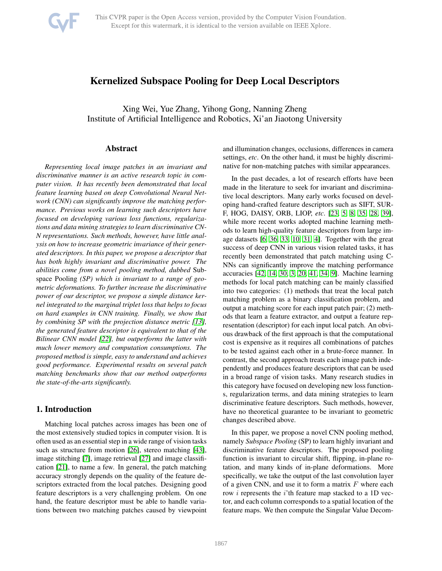

# Kernelized Subspace Pooling for Deep Local Descriptors

Xing Wei, Yue Zhang, Yihong Gong, Nanning Zheng Institute of Artificial Intelligence and Robotics, Xi'an Jiaotong University

## Abstract

*Representing local image patches in an invariant and discriminative manner is an active research topic in computer vision. It has recently been demonstrated that local feature learning based on deep Convolutional Neural Network (CNN) can significantly improve the matching performance. Previous works on learning such descriptors have focused on developing various loss functions, regularizations and data mining strategies to learn discriminative CN-N representations. Such methods, however, have little analysis on how to increase geometric invariance of their generated descriptors. In this paper, we propose a descriptor that has both highly invariant and discriminative power. The abilities come from a novel pooling method, dubbed* Subspace Pooling *(SP) which is invariant to a range of geometric deformations. To further increase the discriminative power of our descriptor, we propose a simple distance kernel integrated to the marginal triplet loss that helps to focus on hard examples in CNN training. Finally, we show that by combining SP with the projection distance metric [\[13\]](#page-8-0), the generated feature descriptor is equivalent to that of the Bilinear CNN model [\[22\]](#page-8-1), but outperforms the latter with much lower memory and computation consumptions. The proposed method is simple, easy to understand and achieves good performance. Experimental results on several patch matching benchmarks show that our method outperforms the state-of-the-arts significantly.*

# 1. Introduction

Matching local patches across images has been one of the most extensively studied topics in computer vision. It is often used as an essential step in a wide range of vision tasks such as structure from motion [\[26\]](#page-8-2), stereo matching [\[43\]](#page-8-3), image stitching [\[7\]](#page-8-4), image retrieval [\[27\]](#page-8-5) and image classification [\[21\]](#page-8-6), to name a few. In general, the patch matching accuracy strongly depends on the quality of the feature descriptors extracted from the local patches. Designing good feature descriptors is a very challenging problem. On one hand, the feature descriptor must be able to handle variations between two matching patches caused by viewpoint and illumination changes, occlusions, differences in camera settings, *etc*. On the other hand, it must be highly discriminative for non-matching patches with similar appearances.

In the past decades, a lot of research efforts have been made in the literature to seek for invariant and discriminative local descriptors. Many early works focused on developing hand-crafted feature descriptors such as SIFT, SUR-F, HOG, DAISY, ORB, LIOP, *etc*. [\[23,](#page-8-7) [5,](#page-8-8) [8,](#page-8-9) [35,](#page-8-10) [28,](#page-8-11) [39\]](#page-8-12), while more recent works adopted machine learning methods to learn high-quality feature descriptors from large image datasets [\[6,](#page-8-13) [36,](#page-8-14) [33,](#page-8-15) [10,](#page-8-16) [31,](#page-8-17) [4\]](#page-8-18). Together with the great success of deep CNN in various vision related tasks, it has recently been demonstrated that patch matching using C-NNs can significantly improve the matching performance accuracies [\[42,](#page-8-19) [14,](#page-8-20) [30,](#page-8-21) [3,](#page-8-22) [20,](#page-8-23) [41,](#page-8-24) [34,](#page-8-25) [9\]](#page-8-26). Machine learning methods for local patch matching can be mainly classified into two categories: (1) methods that treat the local patch matching problem as a binary classification problem, and output a matching score for each input patch pair; (2) methods that learn a feature extractor, and output a feature representation (descriptor) for each input local patch. An obvious drawback of the first approach is that the computational cost is expensive as it requires all combinations of patches to be tested against each other in a brute-force manner. In contrast, the second approach treats each image patch independently and produces feature descriptors that can be used in a broad range of vision tasks. Many research studies in this category have focused on developing new loss functions, regularization terms, and data mining strategies to learn discriminative feature descriptors. Such methods, however, have no theoretical guarantee to be invariant to geometric changes described above.

In this paper, we propose a novel CNN pooling method, namely *Subspace Pooling* (SP) to learn highly invariant and discriminative feature descriptors. The proposed pooling function is invariant to circular shift, flipping, in-plane rotation, and many kinds of in-plane deformations. More specifically, we take the output of the last convolution layer of a given CNN, and use it to form a matrix  $F$  where each row i represents the i'th feature map stacked to a 1D vector, and each column corresponds to a spatial location of the feature maps. We then compute the Singular Value Decom-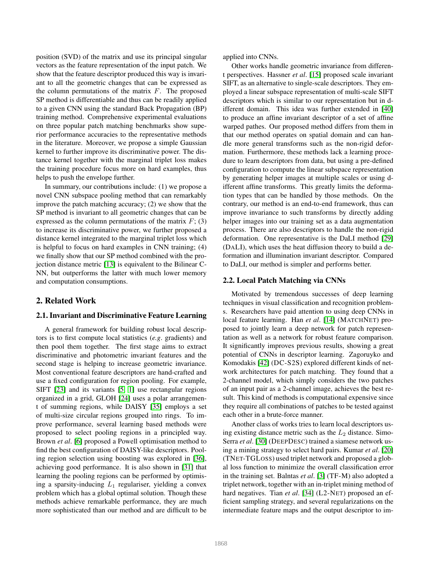position (SVD) of the matrix and use its principal singular vectors as the feature representation of the input patch. We show that the feature descriptor produced this way is invariant to all the geometric changes that can be expressed as the column permutations of the matrix  $F$ . The proposed SP method is differentiable and thus can be readily applied to a given CNN using the standard Back Propagation (BP) training method. Comprehensive experimental evaluations on three popular patch matching benchmarks show superior performance accuracies to the representative methods in the literature. Moreover, we propose a simple Gaussian kernel to further improve its discriminative power. The distance kernel together with the marginal triplet loss makes the training procedure focus more on hard examples, thus helps to push the envelope further.

In summary, our contributions include: (1) we propose a novel CNN subspace pooling method that can remarkably improve the patch matching accuracy; (2) we show that the SP method is invariant to all geometric changes that can be expressed as the column permutations of the matrix  $F$ ; (3) to increase its discriminative power, we further proposed a distance kernel integrated to the marginal triplet loss which is helpful to focus on hard examples in CNN training; (4) we finally show that our SP method combined with the projection distance metric [\[13\]](#page-8-0) is equivalent to the Bilinear C-NN, but outperforms the latter with much lower memory and computation consumptions.

### 2. Related Work

#### 2.1. Invariant and Discriminative Feature Learning

A general framework for building robust local descriptors is to first compute local statistics (*e.g*. gradients) and then pool them together. The first stage aims to extract discriminative and photometric invariant features and the second stage is helping to increase geometric invariance. Most conventional feature descriptors are hand-crafted and use a fixed configuration for region pooling. For example, SIFT [\[23\]](#page-8-7) and its variants [\[5,](#page-8-8) [1\]](#page-8-27) use rectangular regions organized in a grid, GLOH [\[24\]](#page-8-28) uses a polar arrangement of summing regions, while DAISY [\[35\]](#page-8-10) employs a set of multi-size circular regions grouped into rings. To improve performance, several learning based methods were proposed to select pooling regions in a principled way. Brown *et al*. [\[6\]](#page-8-13) proposed a Powell optimisation method to find the best configuration of DAISY-like descriptors. Pooling region selection using boosting was explored in [\[36\]](#page-8-14), achieving good performance. It is also shown in [\[31\]](#page-8-17) that learning the pooling regions can be performed by optimising a sparsity-inducing  $L_1$  regulariser, yielding a convex problem which has a global optimal solution. Though these methods achieve remarkable performance, they are much more sophisticated than our method and are difficult to be applied into CNNs.

Other works handle geometric invariance from different perspectives. Hassner *et al*. [\[15\]](#page-8-29) proposed scale invariant SIFT, as an alternative to single-scale descriptors. They employed a linear subspace representation of multi-scale SIFT descriptors which is similar to our representation but in different domain. This idea was further extended in [\[40\]](#page-8-30) to produce an affine invariant descriptor of a set of affine warped pathes. Our proposed method differs from them in that our method operates on spatial domain and can handle more general transforms such as the non-rigid deformation. Furthermore, these methods lack a learning procedure to learn descriptors from data, but using a pre-defined configuration to compute the linear subspace representation by generating helper images at multiple scales or using different affine transforms. This greatly limits the deformation types that can be handled by those methods. On the contrary, our method is an end-to-end framework, thus can improve invariance to such transforms by directly adding helper images into our training set as a data augmentation process. There are also descriptors to handle the non-rigid deformation. One representative is the DaLI method [\[29\]](#page-8-31) (DALI), which uses the heat diffusion theory to build a deformation and illumination invariant descriptor. Compared to DaLI, our method is simpler and performs better.

#### 2.2. Local Patch Matching via CNNs

Motivated by tremendous successes of deep learning techniques in visual classification and recognition problems. Researchers have paid attention to using deep CNNs in local feature learning. Han *et al*. [\[14\]](#page-8-20) (MATCHNET) proposed to jointly learn a deep network for patch representation as well as a network for robust feature comparison. It significantly improves previous results, showing a great potential of CNNs in descriptor learning. Zagoruyko and Komodakis [\[42\]](#page-8-19) (DC-S2S) explored different kinds of network architectures for patch matching. They found that a 2-channel model, which simply considers the two patches of an input pair as a 2-channel image, achieves the best result. This kind of methods is computational expensive since they require all combinations of patches to be tested against each other in a brute-force manner.

Another class of works tries to learn local descriptors using existing distance metric such as the  $L_2$  distance. Simo-Serra *et al*. [\[30\]](#page-8-21) (DEEPDESC) trained a siamese network using a mining strategy to select hard pairs. Kumar *et al*. [\[20\]](#page-8-23) (TNET-TGLOSS) used triplet network and proposed a global loss function to minimize the overall classification error in the training set. Balntas *et al*. [\[3\]](#page-8-22) (TF-M) also adopted a triplet network, together with an in-triplet mining method of hard negatives. Tian *et al.* [\[34\]](#page-8-25) (L2-NET) proposed an efficient sampling strategy, and several regularizations on the intermediate feature maps and the output descriptor to im-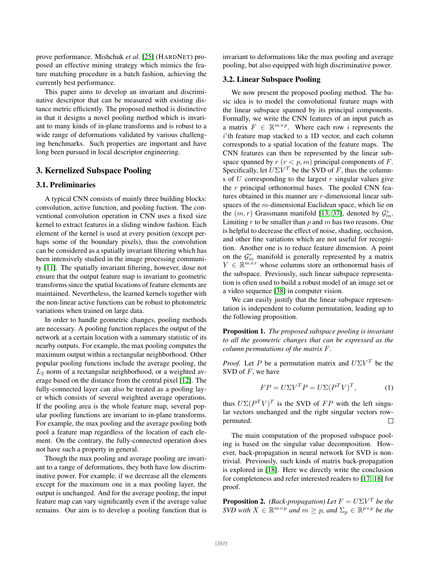prove performance. Mishchuk *et al*. [\[25\]](#page-8-32) (HARDNET) proposed an effective mining strategy which mimics the feature matching procedure in a batch fashion, achieving the currently best performance.

This paper aims to develop an invariant and discriminative descriptor that can be measured with existing distance metric efficiently. The proposed method is distinctive in that it designs a novel pooling method which is invariant to many kinds of in-plane transforms and is robust to a wide range of deformations validated by various challenging benchmarks. Such properties are important and have long been pursued in local descriptor engineering.

### 3. Kernelized Subspace Pooling

#### 3.1. Preliminaries

A typical CNN consists of mainly three building blocks: convolution, active function, and pooling fuction. The conventional convolution operation in CNN uses a fixed size kernel to extract features in a sliding window fashion. Each element of the kernel is used at every position (except perhaps some of the boundary pixels), thus the convolution can be considered as a spatially invariant filtering which has been intensively studied in the image processing community [\[11\]](#page-8-33). The spatially invariant filtering, however, dose not ensure that the output feature map is invariant to geometric transforms since the spatial locations of feature elements are maintained. Nevertheless, the learned kernels together with the non-linear active functions can be robust to photometric variations when trained on large data.

In order to handle geometric changes, pooling methods are necessary. A pooling function replaces the output of the network at a certain location with a summary statistic of its nearby outputs. For example, the max pooling computes the maximum output within a rectangular neighborhood. Other popular pooling functions include the average pooling, the  $L_2$  norm of a rectangular neighborhood, or a weighted average based on the distance from the central pixel [\[12\]](#page-8-34). The fully-connected layer can also be treated as a pooling layer which consists of several weighted average operations. If the pooling area is the whole feature map, several popular pooling functions are invariant to in-plane transforms. For example, the max pooling and the average pooling both pool a feature map regardless of the location of each element. On the contrary, the fully-connected operation does not have such a property in general.

Though the max pooling and average pooling are invariant to a range of deformations, they both have low discriminative power. For example, if we decrease all the elements except for the maximum one in a max pooling layer, the output is unchanged. And for the average pooling, the input feature map can vary significantly even if the average value remains. Our aim is to develop a pooling function that is invariant to deformations like the max pooling and average pooling, but also equipped with high discriminative power.

#### <span id="page-2-0"></span>3.2. Linear Subspace Pooling

We now present the proposed pooling method. The basic idea is to model the convolutional feature maps with the linear subspace spanned by its principal components. Formally, we write the CNN features of an input patch as a matrix  $F \in \mathbb{R}^{m \times p}$ . Where each row i represents the i'th feature map stacked to a 1D vector, and each column corresponds to a spatial location of the feature maps. The CNN features can then be represented by the linear subspace spanned by  $r (r < p, m)$  principal components of F. Specifically, let  $U\Sigma V^T$  be the SVD of F, thus the columns of  $U$  corresponding to the largest  $r$  singular values give the  $r$  principal orthonormal bases. The pooled CNN features obtained in this manner are r-dimensional linear subspaces of the m-dimensional Euclidean space, which lie on the  $(m, r)$  Grassmann manifold [\[13,](#page-8-0) [37\]](#page-8-35), denoted by  $\mathcal{G}_m^r$ . Limiting  $r$  to be smaller than  $p$  and  $m$  has two reasons. One is helpful to decrease the effect of noise, shading, occlusion, and other fine variations which are not useful for recognition. Another one is to reduce feature dimension. A point on the  $\mathcal{G}_m^r$  manifold is generally represented by a matrix  $Y \in \mathbb{R}^{m \times r}$  whose columns store an orthonormal basis of the subspace. Previously, such linear subspace representation is often used to build a robust model of an image set or a video sequence [\[38\]](#page-8-36) in computer vision.

We can easily justify that the linear subspace representation is independent to column permutation, leading up to the following proposition.

<span id="page-2-1"></span>Proposition 1. *The proposed subspace pooling is invariant to all the geometric changes that can be expressed as the column permutations of the matrix* F*.*

*Proof.* Let P be a permutation matrix and  $U\Sigma V^T$  be the SVD of  $F$ , we have

$$
FP = U\Sigma V^T P = U\Sigma (P^T V)^T, \tag{1}
$$

thus  $U\Sigma (P^T V)^T$  is the SVD of FP with the left singular vectors unchanged and the right singular vectors rowpermuted.  $\Box$ 

The main computation of the proposed subspace pooling is based on the singular value decomposition. However, back-propagation in neural network for SVD is nontrivial. Previously, such kinds of matrix back-propagation is explored in [\[18\]](#page-8-37). Here we directly write the conclusion for completeness and refer interested readers to [\[17,](#page-8-38) [18\]](#page-8-37) for proof.

**Proposition 2.** *(Back-propagation)* Let  $F = U\Sigma V^T$  be the *SVD* with  $X \in \mathbb{R}^{m \times p}$  and  $m \geq p$ , and  $\Sigma_p \in \mathbb{R}^{p \times p}$  be the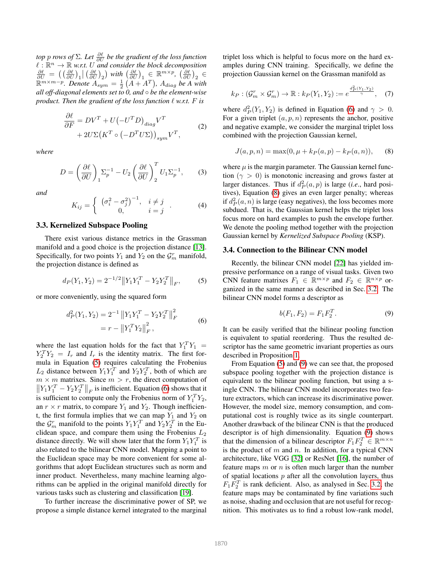*top p rows of* Σ*. Let*  $\frac{\partial \ell}{\partial U}$  *be the gradient of the loss function*  $\ell : \mathbb{R}^n \to \mathbb{R}$  w.r.t. U and consider the block decomposition  $\frac{\partial \ell}{\partial U} = \left( \left( \frac{\partial \ell}{\partial U} \right)_1 \middle| \left( \frac{\partial \ell}{\partial U} \right)_2 \right)$  with  $\left( \frac{\partial \ell}{\partial U} \right)_1 \in \mathbb{R}^{m \times p}$ ,  $\left( \frac{\partial \ell}{\partial U} \right)_2 \in$  $\mathbb{R}^{m \times m-p}$ . Denote  $A_{sym} = \frac{1}{2}(A + A^{T})$ ,  $A_{diag}$  be A with *all off-diagonal elements set to 0, and* ◦ *be the element-wise product. Then the gradient of the loss function*  $\ell$  *w.r.t.*  $F$  *is* 

$$
\frac{\partial \ell}{\partial F} = DV^T + U(-U^TD)_{diag}V^T + 2U\Sigma(K^T \circ (-D^T U \Sigma))_{sym}V^T,
$$
\n(2)

*where*

$$
D = \left(\frac{\partial \ell}{\partial U}\right)_1 \Sigma_p^{-1} - U_2 \left(\frac{\partial \ell}{\partial U}\right)_2^T U_1 \Sigma_p^{-1},\tag{3}
$$

*and*

$$
K_{ij} = \begin{cases} \left(\sigma_i^2 - \sigma_j^2\right)^{-1}, & i \neq j \\ 0, & i = j \end{cases} . \tag{4}
$$

### 3.3. Kernelized Subspace Pooling

There exist various distance metrics in the Grassman manifold and a good choice is the projection distance [\[13\]](#page-8-0). Specifically, for two points  $Y_1$  and  $Y_2$  on the  $\mathcal{G}_m^r$  manifold, the projection distance is defined as

<span id="page-3-0"></span>
$$
d_P(Y_1, Y_2) = 2^{-1/2} \|Y_1 Y_1^T - Y_2 Y_2^T\|_F, \tag{5}
$$

or more conveniently, using the squared form

<span id="page-3-1"></span>
$$
d_P^2(Y_1, Y_2) = 2^{-1} \|Y_1 Y_1^T - Y_2 Y_2^T\|_F^2
$$
  
=  $r - \|Y_1^T Y_2\|_F^2$ , (6)

where the last equation holds for the fact that  $Y_1^T Y_1 =$  $Y_2^T Y_2 = I_r$  and  $I_r$  is the identity matrix. The first formula in Equation [\(5\)](#page-3-0) requires calculating the Frobenius  $L_2$  distance between  $Y_1 Y_1^T$  and  $Y_2 Y_2^T$ , both of which are  $m \times m$  matrixes. Since  $m > r$ , the direct computation of  $\left\| Y_1 Y_1^T - Y_2 Y_2^T \right\|_F$  is inefficient. Equation [\(6\)](#page-3-1) shows that it is sufficient to compute only the Frobenius norm of  $Y_1^T Y_2$ , an  $r \times r$  matrix, to compare  $Y_1$  and  $Y_2$ . Though inefficient, the first formula implies that we can map  $Y_1$  and  $Y_2$  on the  $\mathcal{G}_m^r$  manifold to the points  $Y_1 Y_1^T$  and  $Y_2 Y_2^T$  in the Euclidean space, and compare them using the Frobenius  $L_2$ distance directly. We will show later that the form  $Y_1 Y_1^T$  is also related to the bilinear CNN model. Mapping a point to the Euclidean space may be more convenient for some algorithms that adopt Euclidean structures such as norm and inner product. Nevertheless, many machine learning algorithms can be applied in the original manifold directly for various tasks such as clustering and classification [\[19\]](#page-8-39).

To further increase the discriminative power of SP, we propose a simple distance kernel integrated to the marginal triplet loss which is helpful to focus more on the hard examples during CNN training. Specifically, we define the projection Gaussian kernel on the Grassman manifold as

$$
k_P: (\mathcal{G}_m^r \times \mathcal{G}_m^r) \to \mathbb{R}: k_P(Y_1, Y_2) := e^{\frac{d_P^2(Y_1, Y_2)}{\gamma}}, \quad (7)
$$

where  $d_P^2(Y_1, Y_2)$  is defined in Equation [\(6\)](#page-3-1) and  $\gamma > 0$ . For a given triplet  $(a, p, n)$  represents the anchor, positive and negative example, we consider the marginal triplet loss combined with the projection Gaussian kernel,

<span id="page-3-2"></span>
$$
J(a, p, n) = \max(0, \mu + k_P(a, p) - k_P(a, n)),
$$
 (8)

where  $\mu$  is the margin parameter. The Gaussian kernel function ( $\gamma > 0$ ) is monotonic increasing and grows faster at larger distances. Thus if  $d_P^2(a, p)$  is large (*i.e.*, hard positives), Equation [\(8\)](#page-3-2) gives an even larger penalty; whereas if  $d_P^2(a, n)$  is large (easy negatives), the loss becomes more subdued. That is, the Gaussian kernel helps the triplet loss focus more on hard examples to push the envelope further. We denote the pooling method together with the projection Gaussian kernel by *Kernelized Subspace Pooling* (KSP).

### 3.4. Connection to the Bilinear CNN model

Recently, the bilinear CNN model [\[22\]](#page-8-1) has yielded impressive performance on a range of visual tasks. Given two CNN feature matrixes  $F_1 \in \mathbb{R}^{m \times p}$  and  $F_2 \in \mathbb{R}^{n \times p}$  organized in the same manner as described in Sec. [3.2.](#page-2-0) The bilinear CNN model forms a descriptor as

<span id="page-3-3"></span>
$$
b(F_1, F_2) = F_1 F_2^T.
$$
 (9)

It can be easily verified that the bilinear pooling function is equivalent to spatial reordering. Thus the resulted descriptor has the same geometric invariant properties as ours described in Proposition [1.](#page-2-1)

From Equation [\(5\)](#page-3-0) and [\(9\)](#page-3-3) we can see that, the proposed subspace pooling together with the projection distance is equivalent to the bilinear pooling function, but using a single CNN. The bilinear CNN model incorporates two feature extractors, which can increase its discriminative power. However, the model size, memory consumption, and computational cost is roughly twice as its single counterpart. Another drawback of the bilinear CNN is that the produced descriptor is of high dimensionality. Equation [\(9\)](#page-3-3) shows that the dimension of a bilinear descriptor  $F_1 F_2^T \in \mathbb{R}^{m \times n}$ is the product of  $m$  and  $n$ . In addition, for a typical CNN architecture, like VGG [\[32\]](#page-8-40) or ResNet [\[16\]](#page-8-41), the number of feature maps  $m$  or  $n$  is often much larger than the number of spatial locations  $p$  after all the convolution layers, thus  $F_1 F_2^T$  is rank deficient. Also, as analysed in Sec. [3.2,](#page-2-0) the feature maps may be contaminated by fine variations such as noise, shading and occlusion that are not useful for recognition. This motivates us to find a robust low-rank model,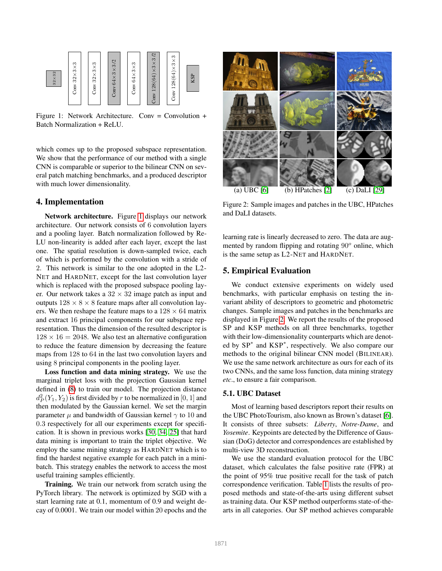<span id="page-4-0"></span>

Figure 1: Network Architecture. Conv = Convolution  $+$ Batch Normalization + ReLU.

which comes up to the proposed subspace representation. We show that the performance of our method with a single CNN is comparable or superior to the bilinear CNN on several patch matching benchmarks, and a produced descriptor with much lower dimensionality.

### 4. Implementation

Network architecture. Figure [1](#page-4-0) displays our network architecture. Our network consists of 6 convolution layers and a pooling layer. Batch normalization followed by Re-LU non-linearity is added after each layer, except the last one. The spatial resolution is down-sampled twice, each of which is performed by the convolution with a stride of 2. This network is similar to the one adopted in the L2- NET and HARDNET, except for the last convolution layer which is replaced with the proposed subspace pooling layer. Our network takes a  $32 \times 32$  image patch as input and outputs  $128 \times 8 \times 8$  feature maps after all convolution layers. We then reshape the feature maps to a  $128 \times 64$  matrix and extract 16 principal components for our subspace representation. Thus the dimension of the resulted descriptor is  $128 \times 16 = 2048$ . We also test an alternative configuration to reduce the feature dimension by decreasing the feature maps from 128 to 64 in the last two convolution layers and using 8 principal components in the pooling layer.

Loss function and data mining strategy. We use the marginal triplet loss with the projection Gaussian kernel defined in [\(8\)](#page-3-2) to train our model. The projection distance  $d_P^2(Y_1, Y_2)$  is first divided by  $r$  to be normalized in  $[0,1]$  and then modulated by the Gaussian kernel. We set the margin parameter  $\mu$  and bandwidth of Gaussian kernel  $\gamma$  to 10 and 0.3 respectively for all our experiments except for specification. It is shown in previous works [\[30,](#page-8-21) [34,](#page-8-25) [25\]](#page-8-32) that hard data mining is important to train the triplet objective. We employ the same mining strategy as HARDNET which is to find the hardest negative example for each patch in a minibatch. This strategy enables the network to access the most useful training samples efficiently.

Training. We train our network from scratch using the PyTorch library. The network is optimized by SGD with a start learning rate at 0.1, momentum of 0.9 and weight decay of 0.0001. We train our model within 20 epochs and the

<span id="page-4-1"></span>

Figure 2: Sample images and patches in the UBC, HPatches and DaLI datasets.

learning rate is linearly decreased to zero. The data are augmented by random flipping and rotating  $90^\circ$  online, which is the same setup as L2-NET and HARDNET.

### 5. Empirical Evaluation

We conduct extensive experiments on widely used benchmarks, with particular emphasis on testing the invariant ability of descriptors to geometric and photometric changes. Sample images and patches in the benchmarks are displayed in Figure [2.](#page-4-1) We report the results of the proposed SP and KSP methods on all three benchmarks, together with their low-dimensionality counterparts which are denoted by SP<sup>∗</sup> and KSP<sup>∗</sup> , respectively. We also compare our methods to the original bilinear CNN model (BILINEAR). We use the same network architecture as ours for each of its two CNNs, and the same loss function, data mining strategy *etc*., to ensure a fair comparison.

### 5.1. UBC Dataset

Most of learning based descriptors report their results on the UBC PhotoTourism, also known as Brown's dataset [\[6\]](#page-8-13). It consists of three subsets: *Liberty*, *Notre-Dame*, and *Yosemite*. Keypoints are detected by the Difference of Gaussian (DoG) detector and correspondences are established by multi-view 3D reconstruction.

We use the standard evaluation protocol for the UBC dataset, which calculates the false positive rate (FPR) at the point of 95% true positive recall for the task of patch correspondence verification. Table [1](#page-5-0) lists the results of proposed methods and state-of-the-arts using different subset as training data. Our KSP method outperforms state-of-thearts in all categories. Our SP method achieves comparable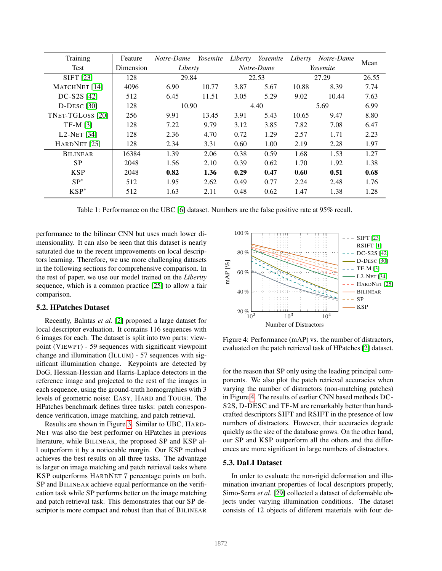<span id="page-5-0"></span>

| Training                               | Feature   | Notre-Dame | Yosemite | Liberty    | Yosemite | Liberty  | Notre-Dame | Mean  |
|----------------------------------------|-----------|------------|----------|------------|----------|----------|------------|-------|
| Test                                   | Dimension | Liberty    |          | Notre-Dame |          | Yosemite |            |       |
| <b>SIFT</b> [23]                       | 128       | 29.84      |          | 22.53      |          | 27.29    |            | 26.55 |
| MATCHNET [14]                          | 4096      | 6.90       | 10.77    | 3.87       | 5.67     | 10.88    | 8.39       | 7.74  |
| DC-S2S [42]                            | 512       | 6.45       | 11.51    | 3.05       | 5.29     | 9.02     | 10.44      | 7.63  |
| $D$ -Desc [30]                         | 128       | 10.90      |          | 4.40       |          | 5.69     |            | 6.99  |
| TNET-TGLOSS [20]                       | 256       | 9.91       | 13.45    | 3.91       | 5.43     | 10.65    | 9.47       | 8.80  |
| $TF-M [3]$                             | 128       | 7.22       | 9.79     | 3.12       | 3.85     | 7.82     | 7.08       | 6.47  |
| L <sub>2</sub> -N <sub>ET</sub> $[34]$ | 128       | 2.36       | 4.70     | 0.72       | 1.29     | 2.57     | 1.71       | 2.23  |
| HARDNET <sup>[25]</sup>                | 128       | 2.34       | 3.31     | 0.60       | 1.00     | 2.19     | 2.28       | 1.97  |
| <b>BILINEAR</b>                        | 16384     | 1.39       | 2.06     | 0.38       | 0.59     | 1.68     | 1.53       | 1.27  |
| <b>SP</b>                              | 2048      | 1.56       | 2.10     | 0.39       | 0.62     | 1.70     | 1.92       | 1.38  |
| <b>KSP</b>                             | 2048      | 0.82       | 1.36     | 0.29       | 0.47     | 0.60     | 0.51       | 0.68  |
| $SP^*$                                 | 512       | 1.95       | 2.62     | 0.49       | 0.77     | 2.24     | 2.48       | 1.76  |
| $KSP^*$                                | 512       | 1.63       | 2.11     | 0.48       | 0.62     | 1.47     | 1.38       | 1.28  |

Table 1: Performance on the UBC [\[6\]](#page-8-13) dataset. Numbers are the false positive rate at 95% recall.

performance to the bilinear CNN but uses much lower dimensionality. It can also be seen that this dataset is nearly saturated due to the recent improvements on local descriptors learning. Therefore, we use more challenging datasets in the following sections for comprehensive comparison. In the rest of paper, we use our model trained on the *Liberity* sequence, which is a common practice [\[25\]](#page-8-32) to allow a fair comparison.

#### 5.2. HPatches Dataset

Recently, Balntas *et al*. [\[2\]](#page-8-42) proposed a large dataset for local descriptor evaluation. It contains 116 sequences with 6 images for each. The dataset is split into two parts: viewpoint (VIEWPT) - 59 sequences with significant viewpoint change and illumination (ILLUM) - 57 sequences with significant illumination change. Keypoints are detected by DoG, Hessian-Hessian and Harris-Laplace detectors in the reference image and projected to the rest of the images in each sequence, using the ground-truth homographies with 3 levels of geometric noise: EASY, HARD and TOUGH. The HPatches benchmark defines three tasks: patch correspondence verification, image matching, and patch retrieval.

Results are shown in Figure [3.](#page-6-0) Similar to UBC, HARD-NET was also the best performer on HPatches in previous literature, while BILINEAR, the proposed SP and KSP all outperform it by a noticeable margin. Our KSP method achieves the best results on all three tasks. The advantage is larger on image matching and patch retrieval tasks where KSP outperforms HARDNET 7 percentage points on both. SP and BILINEAR achieve equal performance on the verification task while SP performs better on the image matching and patch retrieval task. This demonstrates that our SP descriptor is more compact and robust than that of BILINEAR

<span id="page-5-1"></span>

Figure 4: Performance (mAP) vs. the number of distractors, evaluated on the patch retrieval task of HPatches [\[2\]](#page-8-42) dataset.

for the reason that SP only using the leading principal components. We also plot the patch retrieval accuracies when varying the number of distractors (non-matching patches) in Figure [4.](#page-5-1) The results of earlier CNN based methods DC-S2S, D-DESC and TF-M are remarkably better than handcrafted descriptors SIFT and RSIFT in the presence of low numbers of distractors. However, their accuracies degrade quickly as the size of the database grows. On the other hand, our SP and KSP outperform all the others and the differences are more significant in large numbers of distractors.

#### 5.3. DaLI Dataset

In order to evaluate the non-rigid deformation and illumination invariant properties of local descriptors properly, Simo-Serra *et al*. [\[29\]](#page-8-31) collected a dataset of deformable objects under varying illumination conditions. The dataset consists of 12 objects of different materials with four de-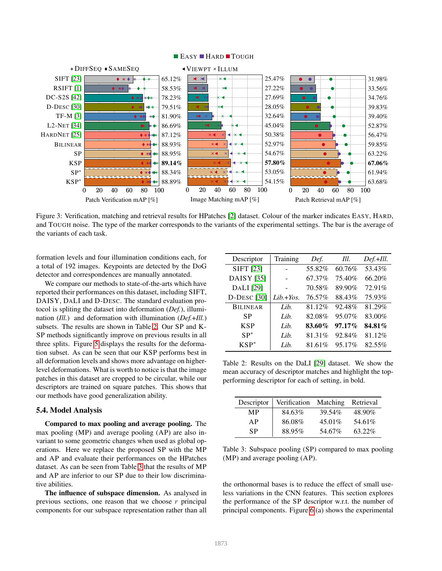<span id="page-6-0"></span>

#### **EASY HARD TOUGH**

Figure 3: Verification, matching and retrieval results for HPatches [\[2\]](#page-8-42) dataset. Colour of the marker indicates EASY, HARD, and TOUGH noise. The type of the marker corresponds to the variants of the experimental settings. The bar is the average of the variants of each task.

formation levels and four illumination conditions each, for a total of 192 images. Keypoints are detected by the DoG detector and correspondences are manually annotated.

We compare our methods to state-of-the-arts which have reported their performances on this dataset, including SIFT, DAISY, DALI and D-DESC. The standard evaluation protocol is spliting the dataset into deformation (*Def.*), illumination (*Ill.*) and deformation with illumination (*Def.*+*Ill.*) subsets. The results are shown in Table [2.](#page-6-1) Our SP and K-SP methods significantly improve on previous results in all three splits. Figure [5](#page-7-0) displays the results for the deformation subset. As can be seen that our KSP performs best in all deformation levels and shows more advantage on higherlevel deformations. What is worth to notice is that the image patches in this dataset are cropped to be circular, while our descriptors are trained on square patches. This shows that our methods have good generalization ability.

#### 5.4. Model Analysis

Compared to max pooling and average pooling. The max pooling (MP) and average pooling (AP) are also invariant to some geometric changes when used as global operations. Here we replace the proposed SP with the MP and AP and evaluate their performances on the HPatches dataset. As can be seen from Table [3](#page-6-2) that the results of MP and AP are inferior to our SP due to their low discriminative abilities.

The influence of subspace dimension. As analysed in previous sections, one reason that we choose  $r$  principal components for our subspace representation rather than all

<span id="page-6-1"></span>

| Descriptor         | Training    | Def.   | Ill.      | Def.+Ill. |
|--------------------|-------------|--------|-----------|-----------|
| SIFT [23]          |             | 55.82% | 60.76%    | 53.43%    |
| DAISY [35]         |             | 67.37% | 75.40%    | 66.20%    |
| DALI [29]          |             | 70.58% | 89.90%    | 72.91%    |
| <b>D-DESC</b> [30] | $Lib.+Yos.$ | 76.57% | 88.43%    | 75.93%    |
| <b>BILINEAR</b>    | Lib.        | 81.12% | 92.48%    | 81.29%    |
| SP                 | Lib.        | 82.08% | 95.07%    | 83.00%    |
| <b>KSP</b>         | Lib.        | 83.60% | $97.17\%$ | 84.81%    |
| $SP^*$             | Lib.        | 81.31% | 92.84%    | 81.12%    |
| $KSP^*$            | Lib.        | 81.61% | 95.17%    | 82.55%    |

Table 2: Results on the DaLI [\[29\]](#page-8-31) dataset. We show the mean accuracy of descriptor matches and highlight the topperforming descriptor for each of setting, in bold.

<span id="page-6-2"></span>

| Descriptor | Verification Matching |           | Retrieval |
|------------|-----------------------|-----------|-----------|
| MР         | 84.63%                | 39.54%    | 48.90%    |
| AP         | 86.08%                | $45.01\%$ | 54.61%    |
| SP         | 88.95%                | 54.67%    | 63.22%    |

Table 3: Subspace pooling (SP) compared to max pooling (MP) and average pooling (AP).

the orthonormal bases is to reduce the effect of small useless variations in the CNN features. This section explores the performance of the SP descriptor w.r.t. the number of principal components. Figure [6](#page-7-1) (a) shows the experimental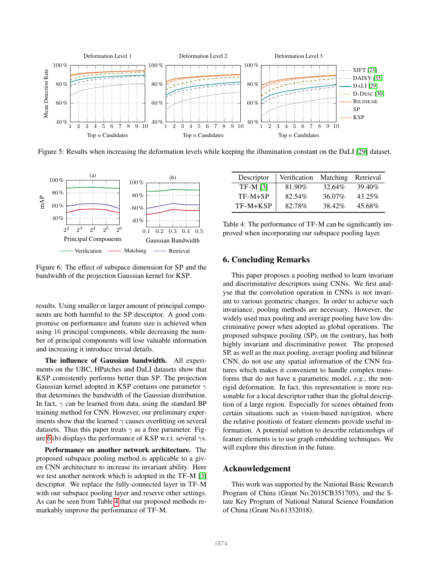<span id="page-7-0"></span>

Figure 5: Results when increasing the deformation levels while keeping the illumination constant on the DaLI [\[29\]](#page-8-31) dataset.

<span id="page-7-1"></span>

Figure 6: The effect of subspace dimension for SP and the bandwidth of the projection Gaussian kernel for KSP.

results. Using smaller or larger amount of principal components are both harmful to the SP descriptor. A good compromise on performance and feature size is achieved when using 16 principal components, while decreasing the number of principal components will lose valuable information and increasing it introduce trivial details.

The influence of Gaussian bandwidth. All experiments on the UBC, HPatches and DaLI datasets show that KSP consistently performs better than SP. The projection Gaussian kernel adopted in KSP contains one parameter  $\gamma$ that determines the bandwidth of the Gaussian distribution. In fact,  $\gamma$  can be learned from data, using the standard BP training method for CNN. However, our preliminary experiments show that the learned  $\gamma$  causes overfitting on several datasets. Thus this paper treats  $\gamma$  as a free parameter. Fig-ure [6](#page-7-1) (b) displays the performance of KSP w.r.t. several  $\gamma s$ .

Performance on another network architecture. The proposed subspace pooling method is applicable to a given CNN architecture to increase its invariant ability. Here we test another network which is adopted in the TF-M [\[3\]](#page-8-22) descriptor. We replace the fully-connected layer in TF-M with our subspace pooling layer and reserve other settings. As can be seen from Table [4](#page-7-2) that our proposed methods remarkably improve the performance of TF-M.

<span id="page-7-2"></span>

| Descriptor | Verification | Matching | Retrieval |
|------------|--------------|----------|-----------|
| $TF-M [3]$ | 81.90%       | 32.64%   | 39.40\%   |
| $TF-M+SP$  | 82.54%       | 36.07%   | $43.25\%$ |
| $TF-M+KSP$ | 82.78%       | 38.42%   | 45.68%    |

Table 4: The performance of TF-M can be significantly improved when incorporating our subspace pooling layer.

### 6. Concluding Remarks

This paper proposes a pooling method to learn invariant and discriminative descriptors using CNNs. We first analyse that the convolution operation in CNNs is not invariant to various geometric changes. In order to achieve such invariance, pooling methods are necessary. However, the widely used max pooling and average pooling have low discriminative power when adopted as global operations. The proposed subspace pooling (SP), on the contrary, has both highly invariant and discriminative power. The proposed SP, as well as the max pooling, average pooling and bilinear CNN, do not use any spatial information of the CNN features which makes it convenient to handle complex transforms that do not have a parametric model, *e.g*., the nonrigid deformation. In fact, this representation is more reasonable for a local descriptor rather than the global description of a large region. Especially for scenes obtained from certain situations such as vision-based navigation, where the relative positions of feature elements provide useful information. A potential solution to describe relationships of feature elements is to use graph embedding techniques. We will explore this direction in the future.

### Acknowledgement

This work was supported by the National Basic Research Program of China (Grant No.2015CB351705), and the State Key Program of National Natural Science Foundation of China (Grant No.61332018).